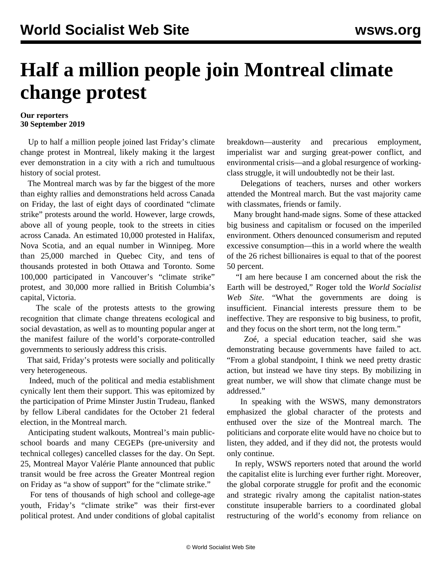## **Half a million people join Montreal climate change protest**

## **Our reporters 30 September 2019**

 Up to half a million people joined last Friday's climate change protest in Montreal, likely making it the largest ever demonstration in a city with a rich and tumultuous history of social protest.

 The Montreal march was by far the biggest of the more than eighty rallies and demonstrations held across Canada on Friday, the last of eight days of coordinated "climate strike" protests around the world. However, large crowds, above all of young people, took to the streets in cities across Canada. An estimated 10,000 protested in Halifax, Nova Scotia, and an equal number in Winnipeg. More than 25,000 marched in Quebec City, and tens of thousands protested in both Ottawa and Toronto. Some 100,000 participated in Vancouver's "climate strike" protest, and 30,000 more rallied in British Columbia's capital, Victoria.

 The scale of the protests attests to the growing recognition that climate change threatens ecological and social devastation, as well as to mounting popular anger at the manifest failure of the world's corporate-controlled governments to seriously address this crisis.

 That said, Friday's protests were socially and politically very heterogeneous.

 Indeed, much of the political and media establishment cynically lent them their support. This was epitomized by the participation of Prime Minster Justin Trudeau, flanked by fellow Liberal candidates for the October 21 federal election, in the Montreal march.

 Anticipating student walkouts, Montreal's main publicschool boards and many CEGEPs (pre-university and technical colleges) cancelled classes for the day. On Sept. 25, Montreal Mayor Valérie Plante announced that public transit would be free across the Greater Montreal region on Friday as "a show of support" for the "climate strike."

 For tens of thousands of high school and college-age youth, Friday's "climate strike" was their first-ever political protest. And under conditions of global capitalist breakdown—austerity and precarious employment, imperialist war and surging great-power conflict, and environmental crisis—and a global resurgence of workingclass struggle, it will undoubtedly not be their last.

 Delegations of teachers, nurses and other workers attended the Montreal march. But the vast majority came with classmates, friends or family.

 Many brought hand-made signs. Some of these attacked big business and capitalism or focused on the imperiled environment. Others denounced consumerism and reputed excessive consumption—this in a world where the wealth of the 26 richest billionaires is equal to that of the poorest 50 percent.

 "I am here because I am concerned about the risk the Earth will be destroyed," Roger told the *World Socialist Web Site*. "What the governments are doing is insufficient. Financial interests pressure them to be ineffective. They are responsive to big business, to profit, and they focus on the short term, not the long term."

 Zoé, a special education teacher, said she was demonstrating because governments have failed to act. "From a global standpoint, I think we need pretty drastic action, but instead we have tiny steps. By mobilizing in great number, we will show that climate change must be addressed."

 In speaking with the WSWS, many demonstrators emphasized the global character of the protests and enthused over the size of the Montreal march. The politicians and corporate elite would have no choice but to listen, they added, and if they did not, the protests would only continue.

 In reply, WSWS reporters noted that around the world the capitalist elite is lurching ever further right. Moreover, the global corporate struggle for profit and the economic and strategic rivalry among the capitalist nation-states constitute insuperable barriers to a coordinated global restructuring of the world's economy from reliance on